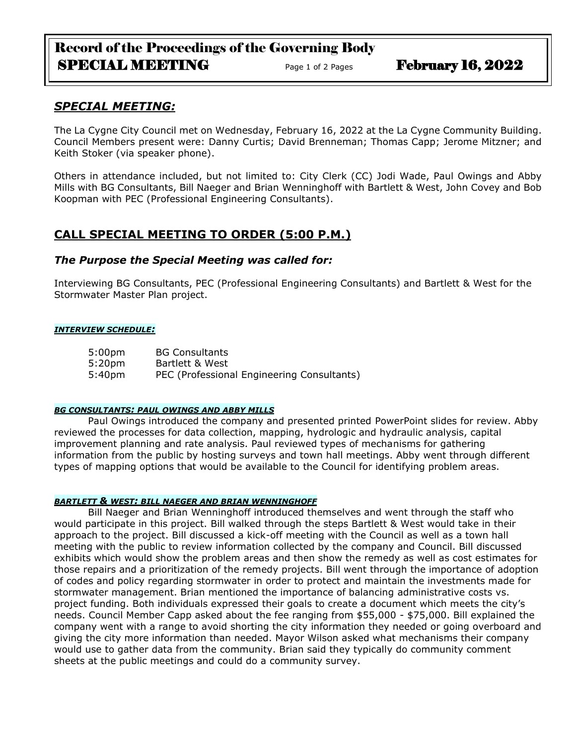# Record of the Proceedings of the Governing Body SPECIAL MEETING Page 1 of 2 Pages February 16, 2022

## *SPECIAL MEETING:*

The La Cygne City Council met on Wednesday, February 16, 2022 at the La Cygne Community Building. Council Members present were: Danny Curtis; David Brenneman; Thomas Capp; Jerome Mitzner; and Keith Stoker (via speaker phone).

Others in attendance included, but not limited to: City Clerk (CC) Jodi Wade, Paul Owings and Abby Mills with BG Consultants, Bill Naeger and Brian Wenninghoff with Bartlett & West, John Covey and Bob Koopman with PEC (Professional Engineering Consultants).

## **CALL SPECIAL MEETING TO ORDER (5:00 P.M.)**

### *The Purpose the Special Meeting was called for:*

Interviewing BG Consultants, PEC (Professional Engineering Consultants) and Bartlett & West for the Stormwater Master Plan project.

#### *INTERVIEW SCHEDULE:*

5:00pm BG Consultants 5:20pm Bartlett & West 5:40pm PEC (Professional Engineering Consultants)

#### *BG CONSULTANTS: PAUL OWINGS AND ABBY MILLS*

Paul Owings introduced the company and presented printed PowerPoint slides for review. Abby reviewed the processes for data collection, mapping, hydrologic and hydraulic analysis, capital improvement planning and rate analysis. Paul reviewed types of mechanisms for gathering information from the public by hosting surveys and town hall meetings. Abby went through different types of mapping options that would be available to the Council for identifying problem areas.

#### *BARTLETT & WEST: BILL NAEGER AND BRIAN WENNINGHOFF*

Bill Naeger and Brian Wenninghoff introduced themselves and went through the staff who would participate in this project. Bill walked through the steps Bartlett & West would take in their approach to the project. Bill discussed a kick-off meeting with the Council as well as a town hall meeting with the public to review information collected by the company and Council. Bill discussed exhibits which would show the problem areas and then show the remedy as well as cost estimates for those repairs and a prioritization of the remedy projects. Bill went through the importance of adoption of codes and policy regarding stormwater in order to protect and maintain the investments made for stormwater management. Brian mentioned the importance of balancing administrative costs vs. project funding. Both individuals expressed their goals to create a document which meets the city's needs. Council Member Capp asked about the fee ranging from \$55,000 - \$75,000. Bill explained the company went with a range to avoid shorting the city information they needed or going overboard and giving the city more information than needed. Mayor Wilson asked what mechanisms their company would use to gather data from the community. Brian said they typically do community comment sheets at the public meetings and could do a community survey.